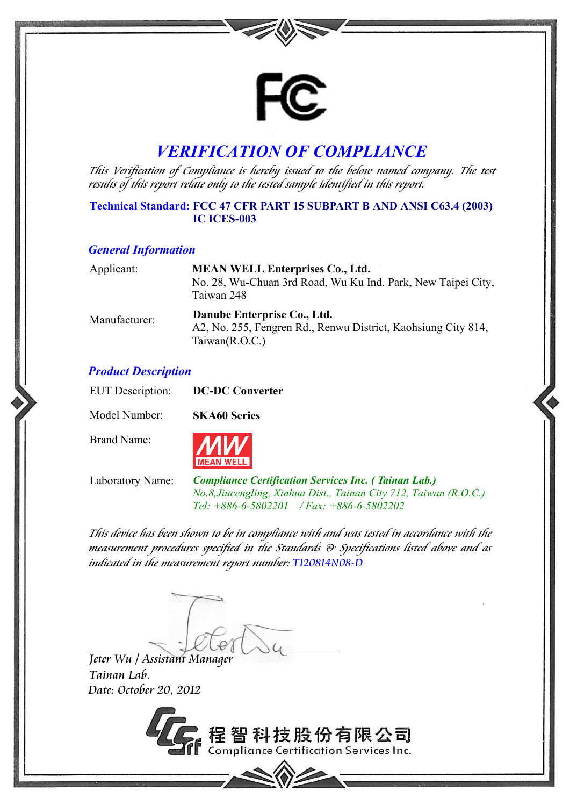

# *VERIFICATION OF COMPLIANCE*

This Verification of Compliance is hereby issued to the below named company. The test results of this report relate only to the tested sample identified in this report.

## **Technical Standard: FCC 47 CFR PART 15 SUBPART B AND ANSI C63.4 (2003) IC ICES-003**

#### *General Information*

| Applicant:    | <b>MEAN WELL Enterprises Co., Ltd.</b><br>No. 28, Wu-Chuan 3rd Road, Wu Ku Ind. Park, New Taipei City,<br>Taiwan 248 |
|---------------|----------------------------------------------------------------------------------------------------------------------|
| Manufacturer: | Danube Enterprise Co., Ltd.<br>A2, No. 255, Fengren Rd., Renwu District, Kaohsiung City 814,<br>Taiwan $(R.O.C.)$    |

### *Product Description*

| <b>EUT</b> Description: | <b>DC-DC Converter</b> |
|-------------------------|------------------------|
| Model Number:           | <b>SKA60 Series</b>    |
| Brand Name:             | <b>MW</b>              |

Laboratory Name: *Compliance Certification Services Inc. ( Tainan Lab.) No.8,Jiucengling, Xinhua Dist., Tainan City 712, Taiwan (R.O.C.) Tel: +886-6-5802201 / Fax: +886-6-5802202* 

This device has been shown to be in compliance with and was tested in accordance with the measurement procedures specified in the Standards & Specifications listed above and as indicated in the measurement report number: T120814N08-D

Jeter Wu / Assistant Manager Tainan Lab. Date: October 20, 2012